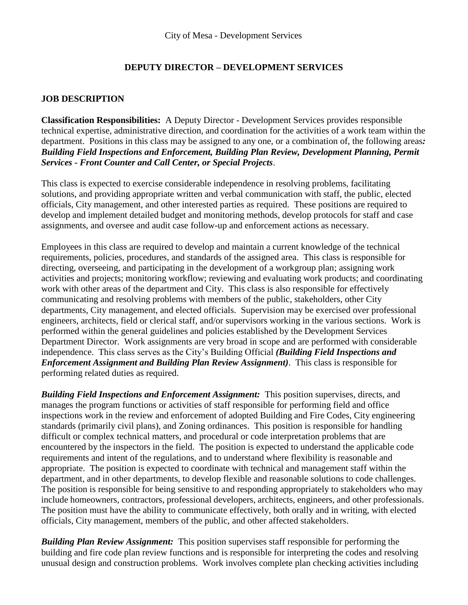## **DEPUTY DIRECTOR – DEVELOPMENT SERVICES**

#### **JOB DESCRIPTION**

**Classification Responsibilities:** A Deputy Director - Development Services provides responsible technical expertise, administrative direction, and coordination for the activities of a work team within the department. Positions in this class may be assigned to any one, or a combination of, the following areas*: Building Field Inspections and Enforcement, Building Plan Review, Development Planning, Permit Services - Front Counter and Call Center, or Special Projects*.

This class is expected to exercise considerable independence in resolving problems, facilitating solutions, and providing appropriate written and verbal communication with staff, the public, elected officials, City management, and other interested parties as required. These positions are required to develop and implement detailed budget and monitoring methods, develop protocols for staff and case assignments, and oversee and audit case follow-up and enforcement actions as necessary.

Employees in this class are required to develop and maintain a current knowledge of the technical requirements, policies, procedures, and standards of the assigned area. This class is responsible for directing, overseeing, and participating in the development of a workgroup plan; assigning work activities and projects; monitoring workflow; reviewing and evaluating work products; and coordinating work with other areas of the department and City. This class is also responsible for effectively communicating and resolving problems with members of the public, stakeholders, other City departments, City management, and elected officials. Supervision may be exercised over professional engineers, architects, field or clerical staff, and/or supervisors working in the various sections. Work is performed within the general guidelines and policies established by the Development Services Department Director. Work assignments are very broad in scope and are performed with considerable independence. This class serves as the City's Building Official *(Building Field Inspections and Enforcement Assignment and Building Plan Review Assignment)*. This class is responsible for performing related duties as required.

*Building Field Inspections and Enforcement Assignment:* This position supervises, directs, and manages the program functions or activities of staff responsible for performing field and office inspections work in the review and enforcement of adopted Building and Fire Codes, City engineering standards (primarily civil plans), and Zoning ordinances. This position is responsible for handling difficult or complex technical matters, and procedural or code interpretation problems that are encountered by the inspectors in the field. The position is expected to understand the applicable code requirements and intent of the regulations, and to understand where flexibility is reasonable and appropriate. The position is expected to coordinate with technical and management staff within the department, and in other departments, to develop flexible and reasonable solutions to code challenges. The position is responsible for being sensitive to and responding appropriately to stakeholders who may include homeowners, contractors, professional developers, architects, engineers, and other professionals. The position must have the ability to communicate effectively, both orally and in writing, with elected officials, City management, members of the public, and other affected stakeholders.

*Building Plan Review Assignment:* This position supervises staff responsible for performing the building and fire code plan review functions and is responsible for interpreting the codes and resolving unusual design and construction problems. Work involves complete plan checking activities including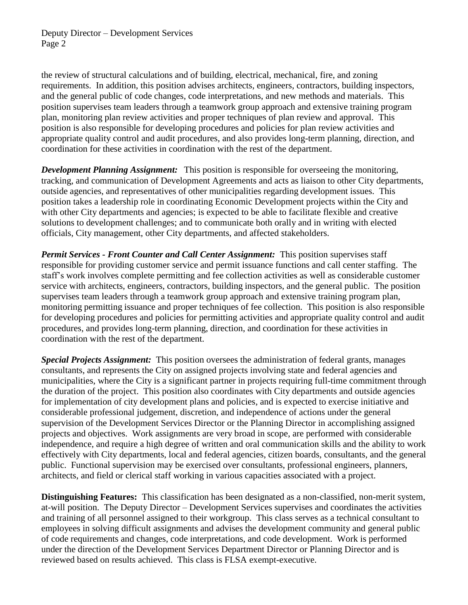Deputy Director – Development Services Page 2

the review of structural calculations and of building, electrical, mechanical, fire, and zoning requirements. In addition, this position advises architects, engineers, contractors, building inspectors, and the general public of code changes, code interpretations, and new methods and materials. This position supervises team leaders through a teamwork group approach and extensive training program plan, monitoring plan review activities and proper techniques of plan review and approval. This position is also responsible for developing procedures and policies for plan review activities and appropriate quality control and audit procedures, and also provides long-term planning, direction, and coordination for these activities in coordination with the rest of the department.

*Development Planning Assignment:* This position is responsible for overseeing the monitoring, tracking, and communication of Development Agreements and acts as liaison to other City departments, outside agencies, and representatives of other municipalities regarding development issues. This position takes a leadership role in coordinating Economic Development projects within the City and with other City departments and agencies; is expected to be able to facilitate flexible and creative solutions to development challenges; and to communicate both orally and in writing with elected officials, City management, other City departments, and affected stakeholders.

*Permit Services - Front Counter and Call Center Assignment:* This position supervises staff responsible for providing customer service and permit issuance functions and call center staffing. The staff's work involves complete permitting and fee collection activities as well as considerable customer service with architects, engineers, contractors, building inspectors, and the general public. The position supervises team leaders through a teamwork group approach and extensive training program plan, monitoring permitting issuance and proper techniques of fee collection. This position is also responsible for developing procedures and policies for permitting activities and appropriate quality control and audit procedures, and provides long-term planning, direction, and coordination for these activities in coordination with the rest of the department.

*Special Projects Assignment:* This position oversees the administration of federal grants, manages consultants, and represents the City on assigned projects involving state and federal agencies and municipalities, where the City is a significant partner in projects requiring full-time commitment through the duration of the project. This position also coordinates with City departments and outside agencies for implementation of city development plans and policies, and is expected to exercise initiative and considerable professional judgement, discretion, and independence of actions under the general supervision of the Development Services Director or the Planning Director in accomplishing assigned projects and objectives. Work assignments are very broad in scope, are performed with considerable independence, and require a high degree of written and oral communication skills and the ability to work effectively with City departments, local and federal agencies, citizen boards, consultants, and the general public. Functional supervision may be exercised over consultants, professional engineers, planners, architects, and field or clerical staff working in various capacities associated with a project.

**Distinguishing Features:** This classification has been designated as a non-classified, non-merit system, at-will position. The Deputy Director – Development Services supervises and coordinates the activities and training of all personnel assigned to their workgroup. This class serves as a technical consultant to employees in solving difficult assignments and advises the development community and general public of code requirements and changes, code interpretations, and code development. Work is performed under the direction of the Development Services Department Director or Planning Director and is reviewed based on results achieved. This class is FLSA exempt-executive.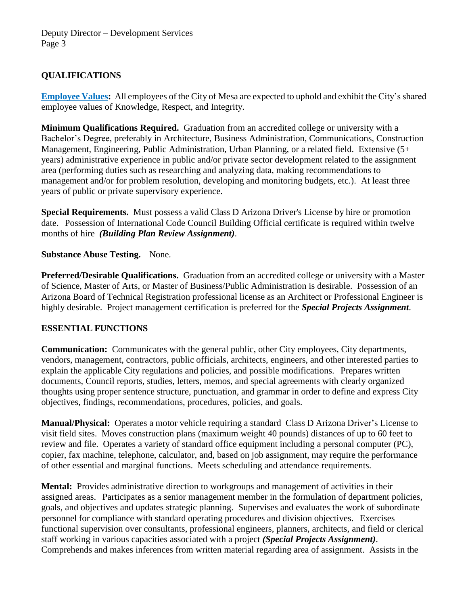# **QUALIFICATIONS**

**[Employee](https://www.mesaaz.gov/Home/ShowDocument?id=14147) Values:** All employees of the City of Mesa are expected to uphold and exhibit the City's shared employee values of Knowledge, Respect, and Integrity.

**Minimum Qualifications Required.** Graduation from an accredited college or university with a Bachelor's Degree, preferably in Architecture, Business Administration, Communications, Construction Management, Engineering, Public Administration, Urban Planning, or a related field. Extensive (5+ years) administrative experience in public and/or private sector development related to the assignment area (performing duties such as researching and analyzing data, making recommendations to management and/or for problem resolution, developing and monitoring budgets, etc.). At least three years of public or private supervisory experience.

**Special Requirements.** Must possess a valid Class D Arizona Driver's License by hire or promotion date. Possession of International Code Council Building Official certificate is required within twelve months of hire *(Building Plan Review Assignment)*.

### **Substance Abuse Testing.** None.

**Preferred/Desirable Qualifications.** Graduation from an accredited college or university with a Master of Science, Master of Arts, or Master of Business/Public Administration is desirable. Possession of an Arizona Board of Technical Registration professional license as an Architect or Professional Engineer is highly desirable. Project management certification is preferred for the *Special Projects Assignment*.

# **ESSENTIAL FUNCTIONS**

**Communication:** Communicates with the general public, other City employees, City departments, vendors, management, contractors, public officials, architects, engineers, and other interested parties to explain the applicable City regulations and policies, and possible modifications. Prepares written documents, Council reports, studies, letters, memos, and special agreements with clearly organized thoughts using proper sentence structure, punctuation, and grammar in order to define and express City objectives, findings, recommendations, procedures, policies, and goals.

**Manual/Physical:** Operates a motor vehicle requiring a standard Class D Arizona Driver's License to visit field sites. Moves construction plans (maximum weight 40 pounds) distances of up to 60 feet to review and file. Operates a variety of standard office equipment including a personal computer (PC), copier, fax machine, telephone, calculator, and, based on job assignment, may require the performance of other essential and marginal functions. Meets scheduling and attendance requirements.

**Mental:** Provides administrative direction to workgroups and management of activities in their assigned areas. Participates as a senior management member in the formulation of department policies, goals, and objectives and updates strategic planning. Supervises and evaluates the work of subordinate personnel for compliance with standard operating procedures and division objectives. Exercises functional supervision over consultants, professional engineers, planners, architects, and field or clerical staff working in various capacities associated with a project *(Special Projects Assignment)*. Comprehends and makes inferences from written material regarding area of assignment. Assists in the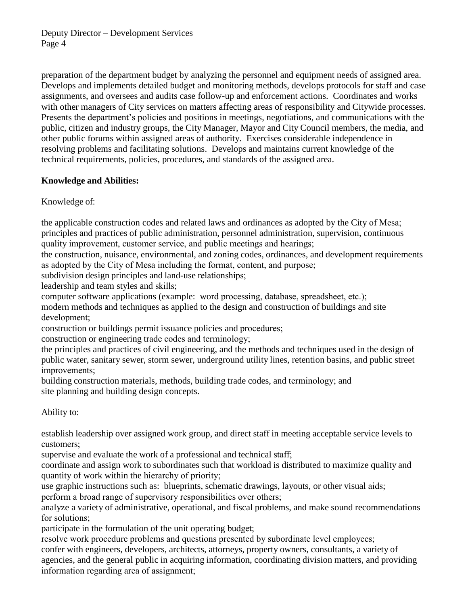Deputy Director – Development Services Page 4

preparation of the department budget by analyzing the personnel and equipment needs of assigned area. Develops and implements detailed budget and monitoring methods, develops protocols for staff and case assignments, and oversees and audits case follow-up and enforcement actions. Coordinates and works with other managers of City services on matters affecting areas of responsibility and Citywide processes. Presents the department's policies and positions in meetings, negotiations, and communications with the public, citizen and industry groups, the City Manager, Mayor and City Council members, the media, and other public forums within assigned areas of authority. Exercises considerable independence in resolving problems and facilitating solutions. Develops and maintains current knowledge of the technical requirements, policies, procedures, and standards of the assigned area.

### **Knowledge and Abilities:**

Knowledge of:

the applicable construction codes and related laws and ordinances as adopted by the City of Mesa; principles and practices of public administration, personnel administration, supervision, continuous quality improvement, customer service, and public meetings and hearings;

the construction, nuisance, environmental, and zoning codes, ordinances, and development requirements as adopted by the City of Mesa including the format, content, and purpose;

subdivision design principles and land-use relationships;

leadership and team styles and skills;

computer software applications (example: word processing, database, spreadsheet, etc.); modern methods and techniques as applied to the design and construction of buildings and site development;

construction or buildings permit issuance policies and procedures;

construction or engineering trade codes and terminology;

the principles and practices of civil engineering, and the methods and techniques used in the design of public water, sanitary sewer, storm sewer, underground utility lines, retention basins, and public street improvements;

building construction materials, methods, building trade codes, and terminology; and site planning and building design concepts.

Ability to:

establish leadership over assigned work group, and direct staff in meeting acceptable service levels to customers;

supervise and evaluate the work of a professional and technical staff;

coordinate and assign work to subordinates such that workload is distributed to maximize quality and quantity of work within the hierarchy of priority;

use graphic instructions such as: blueprints, schematic drawings, layouts, or other visual aids; perform a broad range of supervisory responsibilities over others;

analyze a variety of administrative, operational, and fiscal problems, and make sound recommendations for solutions;

participate in the formulation of the unit operating budget;

resolve work procedure problems and questions presented by subordinate level employees; confer with engineers, developers, architects, attorneys, property owners, consultants, a variety of agencies, and the general public in acquiring information, coordinating division matters, and providing information regarding area of assignment;